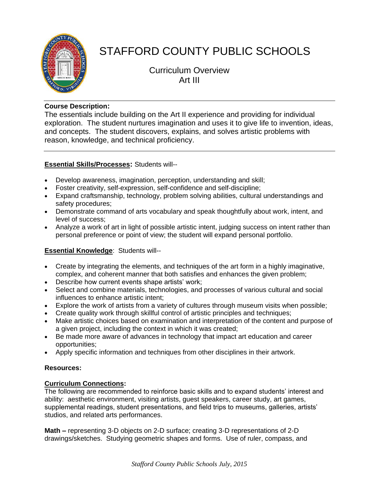

# STAFFORD COUNTY PUBLIC SCHOOLS

Curriculum Overview Art III

## **Course Description:**

The essentials include building on the Art II experience and providing for individual exploration. The student nurtures imagination and uses it to give life to invention, ideas, and concepts. The student discovers, explains, and solves artistic problems with reason, knowledge, and technical proficiency.

## **Essential Skills/Processes:** Students will--

- Develop awareness, imagination, perception, understanding and skill;
- Foster creativity, self-expression, self-confidence and self-discipline;
- Expand craftsmanship, technology, problem solving abilities, cultural understandings and safety procedures;
- Demonstrate command of arts vocabulary and speak thoughtfully about work, intent, and level of success;
- Analyze a work of art in light of possible artistic intent, judging success on intent rather than personal preference or point of view; the student will expand personal portfolio.

# **Essential Knowledge**: Students will--

- Create by integrating the elements, and techniques of the art form in a highly imaginative, complex, and coherent manner that both satisfies and enhances the given problem;
- Describe how current events shape artists' work;
- Select and combine materials, technologies, and processes of various cultural and social influences to enhance artistic intent;
- Explore the work of artists from a variety of cultures through museum visits when possible;
- Create quality work through skillful control of artistic principles and techniques;
- Make artistic choices based on examination and interpretation of the content and purpose of a given project, including the context in which it was created;
- Be made more aware of advances in technology that impact art education and career opportunities;
- Apply specific information and techniques from other disciplines in their artwork.

### **Resources:**

### **Curriculum Connections:**

The following are recommended to reinforce basic skills and to expand students' interest and ability: aesthetic environment, visiting artists, guest speakers, career study, art games, supplemental readings, student presentations, and field trips to museums, galleries, artists' studios, and related arts performances.

**Math –** representing 3-D objects on 2-D surface; creating 3-D representations of 2-D drawings/sketches. Studying geometric shapes and forms. Use of ruler, compass, and